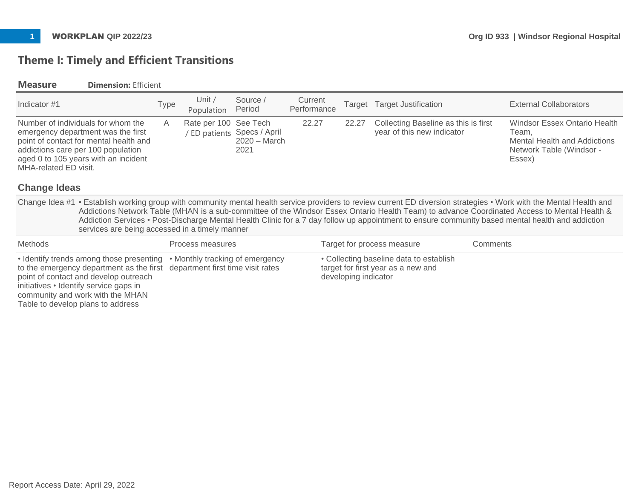# **Theme I: Timely and Efficient Transitions**

## **Measure Dimension:** Efficient

| Indicator #1                                                                                                                                                                                                |                                                                                                                                                                                                                                                                                                                                                                                                                                                                                                                           | Type | Unit /<br>Population                                                 | Source /<br>Period                                                | Current<br>Performance | Target                                                                                                | <b>Target Justification</b>                                        |          | <b>External Collaborators</b>                                                                                      |
|-------------------------------------------------------------------------------------------------------------------------------------------------------------------------------------------------------------|---------------------------------------------------------------------------------------------------------------------------------------------------------------------------------------------------------------------------------------------------------------------------------------------------------------------------------------------------------------------------------------------------------------------------------------------------------------------------------------------------------------------------|------|----------------------------------------------------------------------|-------------------------------------------------------------------|------------------------|-------------------------------------------------------------------------------------------------------|--------------------------------------------------------------------|----------|--------------------------------------------------------------------------------------------------------------------|
| MHA-related ED visit.<br><b>Change Ideas</b>                                                                                                                                                                | Number of individuals for whom the<br>emergency department was the first<br>point of contact for mental health and<br>addictions care per 100 population<br>aged 0 to 105 years with an incident                                                                                                                                                                                                                                                                                                                          | A    | Rate per 100                                                         | See Tech<br>/ ED patients Specs / April<br>$2020 - March$<br>2021 | 22.27                  | 22.27                                                                                                 | Collecting Baseline as this is first<br>year of this new indicator |          | Windsor Essex Ontario Health<br>Team,<br><b>Mental Health and Addictions</b><br>Network Table (Windsor -<br>Essex) |
|                                                                                                                                                                                                             |                                                                                                                                                                                                                                                                                                                                                                                                                                                                                                                           |      |                                                                      |                                                                   |                        |                                                                                                       |                                                                    |          |                                                                                                                    |
|                                                                                                                                                                                                             | Change Idea #1 • Establish working group with community mental health service providers to review current ED diversion strategies • Work with the Mental Health and<br>Addictions Network Table (MHAN is a sub-committee of the Windsor Essex Ontario Health Team) to advance Coordinated Access to Mental Health &<br>Addiction Services • Post-Discharge Mental Health Clinic for a 7 day follow up appointment to ensure community based mental health and addiction<br>services are being accessed in a timely manner |      |                                                                      |                                                                   |                        |                                                                                                       |                                                                    |          |                                                                                                                    |
| <b>Methods</b>                                                                                                                                                                                              |                                                                                                                                                                                                                                                                                                                                                                                                                                                                                                                           |      | Process measures                                                     |                                                                   |                        |                                                                                                       | Target for process measure                                         | Comments |                                                                                                                    |
| • Identify trends among those presenting<br>to the emergency department as the first<br>point of contact and develop outreach<br>initiatives • Identify service gaps in<br>community and work with the MHAN |                                                                                                                                                                                                                                                                                                                                                                                                                                                                                                                           |      | • Monthly tracking of emergency<br>department first time visit rates |                                                                   |                        | • Collecting baseline data to establish<br>target for first year as a new and<br>developing indicator |                                                                    |          |                                                                                                                    |

Table to develop plans to address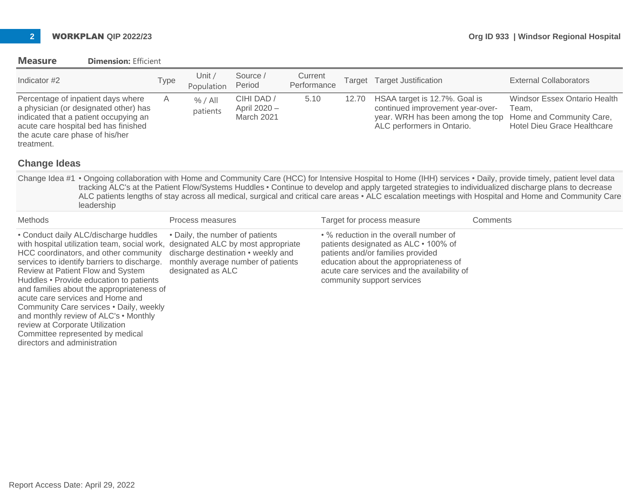### **Measure Dimension:** Efficient

| Indicator #2                                                                                                                                                                                                                                                                                                                                                                                                                                                                                                                              |                                                                                                                                                              | <b>Type</b> | Unit $/$<br>Population                               | Source /<br>Period                                                                                             | Current<br>Performance |       | Target Target Justification                                                                                                                                                                                                                |          | <b>External Collaborators</b>                                                                                                                                                                                                                                                                                                                                                                                                                                                        |
|-------------------------------------------------------------------------------------------------------------------------------------------------------------------------------------------------------------------------------------------------------------------------------------------------------------------------------------------------------------------------------------------------------------------------------------------------------------------------------------------------------------------------------------------|--------------------------------------------------------------------------------------------------------------------------------------------------------------|-------------|------------------------------------------------------|----------------------------------------------------------------------------------------------------------------|------------------------|-------|--------------------------------------------------------------------------------------------------------------------------------------------------------------------------------------------------------------------------------------------|----------|--------------------------------------------------------------------------------------------------------------------------------------------------------------------------------------------------------------------------------------------------------------------------------------------------------------------------------------------------------------------------------------------------------------------------------------------------------------------------------------|
| the acute care phase of his/her<br>treatment.                                                                                                                                                                                                                                                                                                                                                                                                                                                                                             | Percentage of inpatient days where<br>a physician (or designated other) has<br>indicated that a patient occupying an<br>acute care hospital bed has finished | A           | % / All<br>patients                                  | CIHI DAD /<br>April 2020 -<br>March 2021                                                                       | 5.10                   | 12.70 | HSAA target is 12.7%. Goal is<br>continued improvement year-over-<br>year. WRH has been among the top<br>ALC performers in Ontario.                                                                                                        |          | <b>Windsor Essex Ontario Health</b><br>Team.<br>Home and Community Care,<br><b>Hotel Dieu Grace Healthcare</b>                                                                                                                                                                                                                                                                                                                                                                       |
| <b>Change Ideas</b>                                                                                                                                                                                                                                                                                                                                                                                                                                                                                                                       |                                                                                                                                                              |             |                                                      |                                                                                                                |                        |       |                                                                                                                                                                                                                                            |          |                                                                                                                                                                                                                                                                                                                                                                                                                                                                                      |
|                                                                                                                                                                                                                                                                                                                                                                                                                                                                                                                                           | leadership                                                                                                                                                   |             |                                                      |                                                                                                                |                        |       |                                                                                                                                                                                                                                            |          | Change Idea #1 • Ongoing collaboration with Home and Community Care (HCC) for Intensive Hospital to Home (IHH) services • Daily, provide timely, patient level data<br>tracking ALC's at the Patient Flow/Systems Huddles • Continue to develop and apply targeted strategies to individualized discharge plans to decrease<br>ALC patients lengths of stay across all medical, surgical and critical care areas • ALC escalation meetings with Hospital and Home and Community Care |
| Methods                                                                                                                                                                                                                                                                                                                                                                                                                                                                                                                                   |                                                                                                                                                              |             | Process measures                                     |                                                                                                                |                        |       | Target for process measure                                                                                                                                                                                                                 | Comments |                                                                                                                                                                                                                                                                                                                                                                                                                                                                                      |
| • Conduct daily ALC/discharge huddles<br>with hospital utilization team, social work,<br>HCC coordinators, and other community<br>services to identify barriers to discharge.<br>Review at Patient Flow and System<br>Huddles • Provide education to patients<br>and families about the appropriateness of<br>acute care services and Home and<br>Community Care services . Daily, weekly<br>and monthly review of ALC's • Monthly<br>review at Corporate Utilization<br>Committee represented by medical<br>directors and administration |                                                                                                                                                              |             | • Daily, the number of patients<br>designated as ALC | designated ALC by most appropriate<br>discharge destination • weekly and<br>monthly average number of patients |                        |       | • % reduction in the overall number of<br>patients designated as ALC • 100% of<br>patients and/or families provided<br>education about the appropriateness of<br>acute care services and the availability of<br>community support services |          |                                                                                                                                                                                                                                                                                                                                                                                                                                                                                      |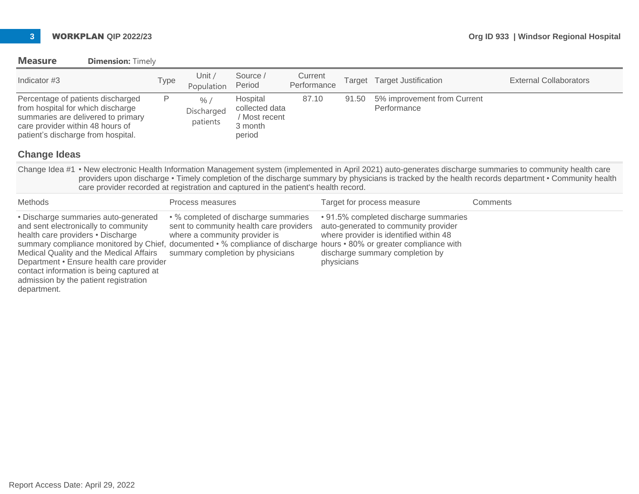**Measure Dimension:** Timely

contact information is being captured at admission by the patient registration

department.

| Indicator #3                                                                                                                                                                                             | Type | Unit $/$<br>Population                                                                                                                                                                                                                                                       | Source /<br>Period                                               | Current<br>Performance |                                                                                                                                                                          | Target Target Justification                | <b>External Collaborators</b>                                                                                                                                                                                                                                                                                      |
|----------------------------------------------------------------------------------------------------------------------------------------------------------------------------------------------------------|------|------------------------------------------------------------------------------------------------------------------------------------------------------------------------------------------------------------------------------------------------------------------------------|------------------------------------------------------------------|------------------------|--------------------------------------------------------------------------------------------------------------------------------------------------------------------------|--------------------------------------------|--------------------------------------------------------------------------------------------------------------------------------------------------------------------------------------------------------------------------------------------------------------------------------------------------------------------|
| Percentage of patients discharged<br>from hospital for which discharge<br>summaries are delivered to primary<br>care provider within 48 hours of<br>patient's discharge from hospital.                   | P    | % /<br>Discharged<br>patients                                                                                                                                                                                                                                                | Hospital<br>collected data<br>/ Most recent<br>3 month<br>period | 87.10                  | 91.50                                                                                                                                                                    | 5% improvement from Current<br>Performance |                                                                                                                                                                                                                                                                                                                    |
| <b>Change Ideas</b>                                                                                                                                                                                      |      |                                                                                                                                                                                                                                                                              |                                                                  |                        |                                                                                                                                                                          |                                            |                                                                                                                                                                                                                                                                                                                    |
| care provider recorded at registration and captured in the patient's health record.                                                                                                                      |      |                                                                                                                                                                                                                                                                              |                                                                  |                        |                                                                                                                                                                          |                                            | Change Idea #1 • New electronic Health Information Management system (implemented in April 2021) auto-generates discharge summaries to community health care<br>providers upon discharge • Timely completion of the discharge summary by physicians is tracked by the health records department • Community health |
| <b>Methods</b>                                                                                                                                                                                           |      | Process measures                                                                                                                                                                                                                                                             |                                                                  |                        |                                                                                                                                                                          | Target for process measure                 | Comments                                                                                                                                                                                                                                                                                                           |
| • Discharge summaries auto-generated<br>and sent electronically to community<br>health care providers • Discharge<br>Medical Quality and the Medical Affairs<br>Department • Ensure health care provider |      | • % completed of discharge summaries<br>sent to community health care providers<br>where a community provider is<br>summary compliance monitored by Chief, documented • % compliance of discharge hours • 80% or greater compliance with<br>summary completion by physicians |                                                                  |                        | • 91.5% completed discharge summaries<br>auto-generated to community provider<br>where provider is identified within 48<br>discharge summary completion by<br>physicians |                                            |                                                                                                                                                                                                                                                                                                                    |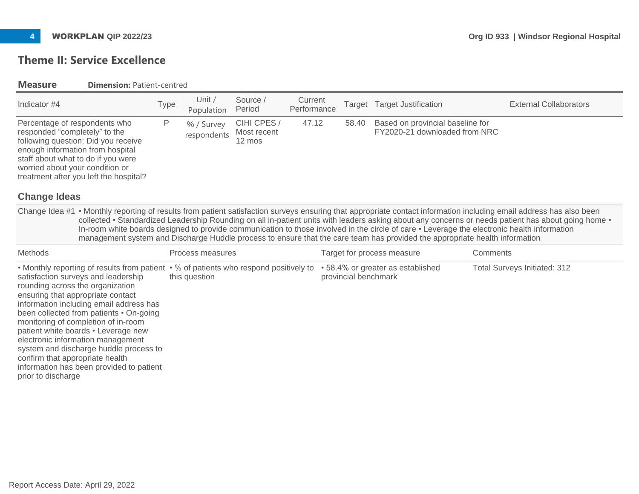# **Theme II: Service Excellence**

| <b>Measure</b>                                                                                                           | <b>Dimension: Patient-centred</b>                                                                                                                                                                                                                                                                                                                                                                                                                          |             |                           |                                           |                        |                      |                                                                                                                             |                                                                                                                                                                                                                                                                                                    |
|--------------------------------------------------------------------------------------------------------------------------|------------------------------------------------------------------------------------------------------------------------------------------------------------------------------------------------------------------------------------------------------------------------------------------------------------------------------------------------------------------------------------------------------------------------------------------------------------|-------------|---------------------------|-------------------------------------------|------------------------|----------------------|-----------------------------------------------------------------------------------------------------------------------------|----------------------------------------------------------------------------------------------------------------------------------------------------------------------------------------------------------------------------------------------------------------------------------------------------|
| Indicator #4                                                                                                             |                                                                                                                                                                                                                                                                                                                                                                                                                                                            | <b>Type</b> | Unit $/$<br>Population    | Source /<br>Period                        | Current<br>Performance | Target               | <b>Target Justification</b>                                                                                                 | <b>External Collaborators</b>                                                                                                                                                                                                                                                                      |
| Percentage of respondents who<br>responded "completely" to the<br>worried about your condition or<br><b>Change Ideas</b> | following question: Did you receive<br>enough information from hospital<br>staff about what to do if you were<br>treatment after you left the hospital?                                                                                                                                                                                                                                                                                                    | P           | % / Survey<br>respondents | CIHI CPES /<br>Most recent<br>12 mos      | 47.12                  | 58.40                | Based on provincial baseline for<br>FY2020-21 downloaded from NRC                                                           | Change Idea #1 • Monthly reporting of results from patient satisfaction surveys ensuring that appropriate contact information including email address has also been                                                                                                                                |
|                                                                                                                          |                                                                                                                                                                                                                                                                                                                                                                                                                                                            |             |                           |                                           |                        |                      | management system and Discharge Huddle process to ensure that the care team has provided the appropriate health information | collected • Standardized Leadership Rounding on all in-patient units with leaders asking about any concerns or needs patient has about going home •<br>In-room white boards designed to provide communication to those involved in the circle of care • Leverage the electronic health information |
| <b>Methods</b>                                                                                                           |                                                                                                                                                                                                                                                                                                                                                                                                                                                            |             | Process measures          |                                           |                        |                      | Target for process measure                                                                                                  | Comments                                                                                                                                                                                                                                                                                           |
| confirm that appropriate health<br>prior to discharge                                                                    | • Monthly reporting of results from patient<br>satisfaction surveys and leadership<br>rounding across the organization<br>ensuring that appropriate contact<br>information including email address has<br>been collected from patients • On-going<br>monitoring of completion of in-room<br>patient white boards • Leverage new<br>electronic information management<br>system and discharge huddle process to<br>information has been provided to patient |             | this question             | • % of patients who respond positively to |                        | provincial benchmark | • 58.4% or greater as established                                                                                           | <b>Total Surveys Initiated: 312</b>                                                                                                                                                                                                                                                                |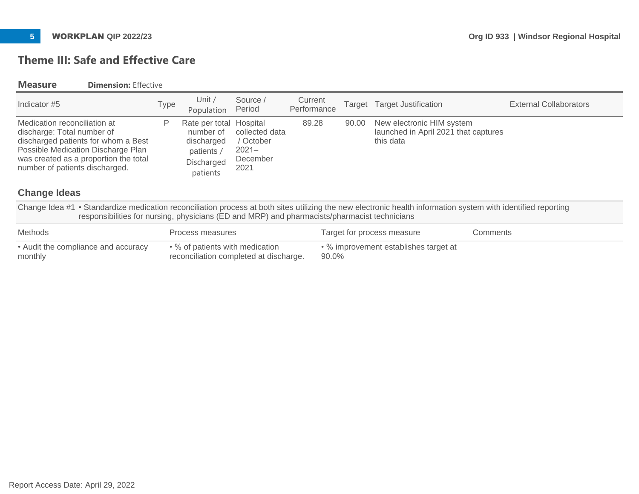# **Theme III: Safe and Effective Care**

### **Measure Dimension:** Effective

| Indicator #5                                                                                                                                                                                                       | Type | Unit /<br>Population                                                                       | Source /<br>Period                                          | Current<br>Performance |       | Target Target Justification                                                    | <b>External Collaborators</b> |
|--------------------------------------------------------------------------------------------------------------------------------------------------------------------------------------------------------------------|------|--------------------------------------------------------------------------------------------|-------------------------------------------------------------|------------------------|-------|--------------------------------------------------------------------------------|-------------------------------|
| Medication reconciliation at<br>discharge: Total number of<br>discharged patients for whom a Best<br>Possible Medication Discharge Plan<br>was created as a proportion the total<br>number of patients discharged. |      | Rate per total Hospital<br>number of<br>discharged<br>patients /<br>Discharged<br>patients | collected data<br>/ October<br>$2021 -$<br>December<br>2021 | 89.28                  | 90.00 | New electronic HIM system<br>launched in April 2021 that captures<br>this data |                               |

## **Change Ideas**

Change Idea #1 • Standardize medication reconciliation process at both sites utilizing the new electronic health information system with identified reporting responsibilities for nursing, physicians (ED and MRP) and pharmacists/pharmacist technicians

| <b>Methods</b>                      | Process measures                       | Target for process measure            | Comments |
|-------------------------------------|----------------------------------------|---------------------------------------|----------|
| • Audit the compliance and accuracy | • % of patients with medication        | • % improvement establishes target at |          |
| monthly                             | reconciliation completed at discharge. | 90.0%                                 |          |